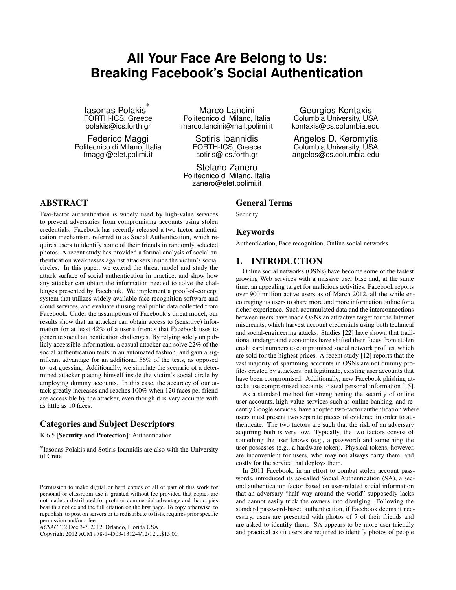# **All Your Face Are Belong to Us: Breaking Facebook's Social Authentication**

Iasonas Polakis *∗* FORTH-ICS, Greece polakis@ics.forth.gr

Federico Maggi Politecnico di Milano, Italia fmaggi@elet.polimi.it

Marco Lancini Politecnico di Milano, Italia marco.lancini@mail.polimi.it

> Sotiris Ioannidis FORTH-ICS, Greece sotiris@ics.forth.gr

Stefano Zanero Politecnico di Milano, Italia zanero@elet.polimi.it

ABSTRACT

Two-factor authentication is widely used by high-value services to prevent adversaries from compromising accounts using stolen credentials. Facebook has recently released a two-factor authentication mechanism, referred to as Social Authentication, which requires users to identify some of their friends in randomly selected photos. A recent study has provided a formal analysis of social authentication weaknesses against attackers inside the victim's social circles. In this paper, we extend the threat model and study the attack surface of social authentication in practice, and show how any attacker can obtain the information needed to solve the challenges presented by Facebook. We implement a proof-of-concept system that utilizes widely available face recognition software and cloud services, and evaluate it using real public data collected from Facebook. Under the assumptions of Facebook's threat model, our results show that an attacker can obtain access to (sensitive) information for at least 42% of a user's friends that Facebook uses to generate social authentication challenges. By relying solely on publicly accessible information, a casual attacker can solve 22% of the social authentication tests in an automated fashion, and gain a significant advantage for an additional 56% of the tests, as opposed to just guessing. Additionally, we simulate the scenario of a determined attacker placing himself inside the victim's social circle by employing dummy accounts. In this case, the accuracy of our attack greatly increases and reaches 100% when 120 faces per friend are accessible by the attacker, even though it is very accurate with as little as 10 faces.

# Categories and Subject Descriptors

K.6.5 [Security and Protection]: Authentication

Copyright 2012 ACM 978-1-4503-1312-4/12/12 ...\$15.00.

Georgios Kontaxis Columbia University, USA kontaxis@cs.columbia.edu

Angelos D. Keromytis Columbia University, USA angelos@cs.columbia.edu

#### General Terms

Security

#### Keywords

Authentication, Face recognition, Online social networks

#### 1. INTRODUCTION

Online social networks (OSNs) have become some of the fastest growing Web services with a massive user base and, at the same time, an appealing target for malicious activities: Facebook reports over 900 million active users as of March 2012, all the while encouraging its users to share more and more information online for a richer experience. Such accumulated data and the interconnections between users have made OSNs an attractive target for the Internet miscreants, which harvest account credentials using both technical and social-engineering attacks. Studies [22] have shown that traditional underground economies have shifted their focus from stolen credit card numbers to compromised social network profiles, which are sold for the highest prices. A recent study [12] reports that the vast majority of spamming accounts in OSNs are not dummy profiles created by attackers, but legitimate, existing user accounts that have been compromised. Additionally, new Facebook phishing attacks use compromised accounts to steal personal information [15].

As a standard method for strengthening the security of online user accounts, high-value services such as online banking, and recently Google services, have adopted two-factor authentication where users must present two separate pieces of evidence in order to authenticate. The two factors are such that the risk of an adversary acquiring both is very low. Typically, the two factors consist of something the user knows (e.g., a password) and something the user possesses (e.g., a hardware token). Physical tokens, however, are inconvenient for users, who may not always carry them, and costly for the service that deploys them.

In 2011 Facebook, in an effort to combat stolen account passwords, introduced its so-called Social Authentication (SA), a second authentication factor based on user-related social information that an adversary "half way around the world" supposedly lacks and cannot easily trick the owners into divulging. Following the standard password-based authentication, if Facebook deems it necessary, users are presented with photos of 7 of their friends and are asked to identify them. SA appears to be more user-friendly and practical as (i) users are required to identify photos of people

*<sup>∗</sup>* Iasonas Polakis and Sotiris Ioannidis are also with the University of Crete

Permission to make digital or hard copies of all or part of this work for personal or classroom use is granted without fee provided that copies are not made or distributed for profit or commercial advantage and that copies bear this notice and the full citation on the first page. To copy otherwise, to republish, to post on servers or to redistribute to lists, requires prior specific permission and/or a fee.

*ACSAC* '12 Dec 3-7, 2012, Orlando, Florida USA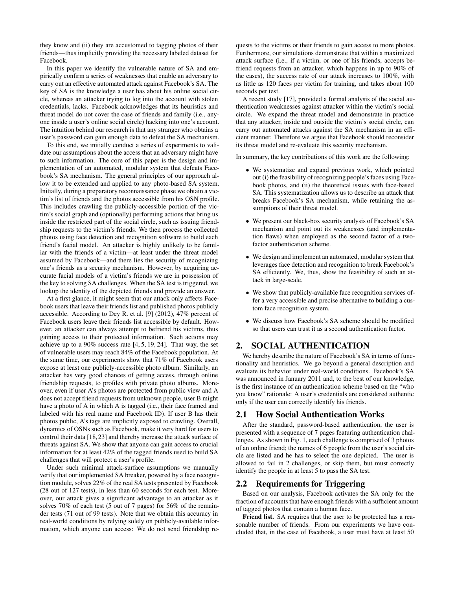they know and (ii) they are accustomed to tagging photos of their friends—thus implicitly providing the necessary labeled dataset for Facebook.

In this paper we identify the vulnerable nature of SA and empirically confirm a series of weaknesses that enable an adversary to carry out an effective automated attack against Facebook's SA. The key of SA is the knowledge a user has about his online social circle, whereas an attacker trying to log into the account with stolen credentials, lacks. Facebook acknowledges that its heuristics and threat model do not cover the case of friends and family (i.e., anyone inside a user's online social circle) hacking into one's account. The intuition behind our research is that any stranger who obtains a user's password can gain enough data to defeat the SA mechanism.

To this end, we initially conduct a series of experiments to validate our assumptions about the access that an adversary might have to such information. The core of this paper is the design and implementation of an automated, modular system that defeats Facebook's SA mechanism. The general principles of our approach allow it to be extended and applied to any photo-based SA system. Initially, during a preparatory reconnaissance phase we obtain a victim's list of friends and the photos accessible from his OSN profile. This includes crawling the publicly-accessible portion of the victim's social graph and (optionally) performing actions that bring us inside the restricted part of the social circle, such as issuing friendship requests to the victim's friends. We then process the collected photos using face detection and recognition software to build each friend's facial model. An attacker is highly unlikely to be familiar with the friends of a victim—at least under the threat model assumed by Facebook—and there lies the security of recognizing one's friends as a security mechanism. However, by acquiring accurate facial models of a victim's friends we are in possession of the key to solving SA challenges. When the SA test is triggered, we lookup the identity of the depicted friends and provide an answer.

At a first glance, it might seem that our attack only affects Facebook users that leave their friends list and published photos publicly accessible. According to Dey R. et al. [9] (2012), 47% percent of Facebook users leave their friends list accessible by default. However, an attacker can always attempt to befriend his victims, thus gaining access to their protected information. Such actions may achieve up to a 90% success rate [4, 5, 19, 24]. That way, the set of vulnerable users may reach 84% of the Facebook population. At the same time, our experiments show that 71% of Facebook users expose at least one publicly-accessible photo album. Similarly, an attacker has very good chances of getting access, through online friendship requests, to profiles with private photo albums. Moreover, even if user A's photos are protected from public view and A does not accept friend requests from unknown people, user B might have a photo of A in which A is tagged (i.e., their face framed and labeled with his real name and Facebook ID). If user B has their photos public, A's tags are implicitly exposed to crawling. Overall, dynamics of OSNs such as Facebook, make it very hard for users to control their data [18,23] and thereby increase the attack surface of threats against SA. We show that anyone can gain access to crucial information for at least 42% of the tagged friends used to build SA challenges that will protect a user's profile.

Under such minimal attack-surface assumptions we manually verify that our implemented SA breaker, powered by a face recognition module, solves 22% of the real SA tests presented by Facebook (28 out of 127 tests), in less than 60 seconds for each test. Moreover, our attack gives a significant advantage to an attacker as it solves 70% of each test (5 out of 7 pages) for 56% of the remainder tests (71 out of 99 tests). Note that we obtain this accuracy in real-world conditions by relying solely on publicly-available information, which anyone can access: We do not send friendship requests to the victims or their friends to gain access to more photos. Furthermore, our simulations demonstrate that within a maximized attack surface (i.e., if a victim, or one of his friends, accepts befriend requests from an attacker, which happens in up to 90% of the cases), the success rate of our attack increases to 100%, with as little as 120 faces per victim for training, and takes about 100 seconds per test.

A recent study [17], provided a formal analysis of the social authentication weaknesses against attacker within the victim's social circle. We expand the threat model and demonstrate in practice that any attacker, inside and outside the victim's social circle, can carry out automated attacks against the SA mechanism in an efficient manner. Therefore we argue that Facebook should reconsider its threat model and re-evaluate this security mechanism.

In summary, the key contributions of this work are the following:

- *•* We systematize and expand previous work, which pointed out (i) the feasibility of recognizing people's faces using Facebook photos, and (ii) the theoretical issues with face-based SA. This systematization allows us to describe an attack that breaks Facebook's SA mechanism, while retaining the assumptions of their threat model.
- *•* We present our black-box security analysis of Facebook's SA mechanism and point out its weaknesses (and implementation flaws) when employed as the second factor of a twofactor authentication scheme.
- *•* We design and implement an automated, modular system that leverages face detection and recognition to break Facebook's SA efficiently. We, thus, show the feasibility of such an attack in large-scale.
- *•* We show that publicly-available face recognition services offer a very accessible and precise alternative to building a custom face recognition system.
- We discuss how Facebook's SA scheme should be modified so that users can trust it as a second authentication factor.

# 2. SOCIAL AUTHENTICATION

We hereby describe the nature of Facebook's SA in terms of functionality and heuristics. We go beyond a general description and evaluate its behavior under real-world conditions. Facebook's SA was announced in January 2011 and, to the best of our knowledge, is the first instance of an authentication scheme based on the "who you know" rationale: A user's credentials are considered authentic only if the user can correctly identify his friends.

#### 2.1 How Social Authentication Works

After the standard, password-based authentication, the user is presented with a sequence of 7 pages featuring authentication challenges. As shown in Fig. 1, each challenge is comprised of 3 photos of an online friend; the names of 6 people from the user's social circle are listed and he has to select the one depicted. The user is allowed to fail in 2 challenges, or skip them, but must correctly identify the people in at least 5 to pass the SA test.

# 2.2 Requirements for Triggering

Based on our analysis, Facebook activates the SA only for the fraction of accounts that have enough friends with a sufficient amount of tagged photos that contain a human face.

Friend list. SA requires that the user to be protected has a reasonable number of friends. From our experiments we have concluded that, in the case of Facebook, a user must have at least 50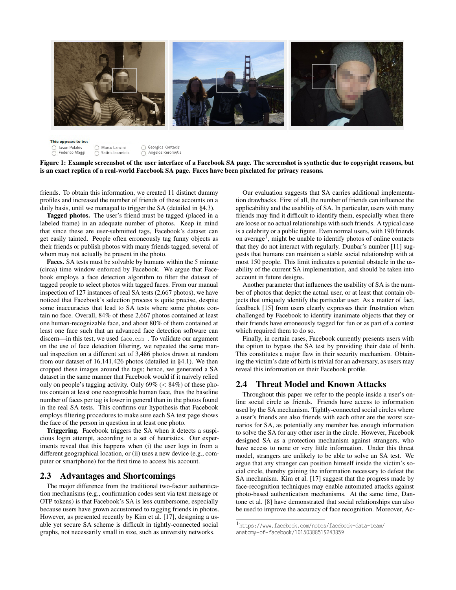

This appears to be Jason Polakis C ◯ Federico Maggi

Marco Lancini Georgios Kontaxis Sotiris loannidis Angelos Keromytis

Figure 1: Example screenshot of the user interface of a Facebook SA page. The screenshot is synthetic due to copyright reasons, but is an exact replica of a real-world Facebook SA page. Faces have been pixelated for privacy reasons.

friends. To obtain this information, we created 11 distinct dummy profiles and increased the number of friends of these accounts on a daily basis, until we managed to trigger the SA (detailed in §4.3).

Tagged photos. The user's friend must be tagged (placed in a labeled frame) in an adequate number of photos. Keep in mind that since these are user-submitted tags, Facebook's dataset can get easily tainted. People often erroneously tag funny objects as their friends or publish photos with many friends tagged, several of whom may not actually be present in the photo.

Faces. SA tests must be solvable by humans within the 5 minute (circa) time window enforced by Facebook. We argue that Facebook employs a face detection algorithm to filter the dataset of tagged people to select photos with tagged faces. From our manual inspection of 127 instances of real SA tests (2,667 photos), we have noticed that Facebook's selection process is quite precise, despite some inaccuracies that lead to SA tests where some photos contain no face. Overall, 84% of these 2,667 photos contained at least one human-recognizable face, and about 80% of them contained at least one face such that an advanced face detection software can discern—in this test, we used face.com . To validate our argument on the use of face detection filtering, we repeated the same manual inspection on a different set of 3,486 photos drawn at random from our dataset of 16,141,426 photos (detailed in §4.1). We then cropped these images around the tags; hence, we generated a SA dataset in the same manner that Facebook would if it naively relied only on people's tagging activity. Only 69% (*<* 84%) of these photos contain at least one recognizable human face, thus the baseline number of faces per tag is lower in general than in the photos found in the real SA tests. This confirms our hypothesis that Facebook employs filtering procedures to make sure each SA test page shows the face of the person in question in at least one photo.

Triggering. Facebook triggers the SA when it detects a suspicious login attempt, according to a set of heuristics. Our experiments reveal that this happens when (i) the user logs in from a different geographical location, or (ii) uses a new device (e.g., computer or smartphone) for the first time to access his account.

## 2.3 Advantages and Shortcomings

The major difference from the traditional two-factor authentication mechanisms (e.g., confirmation codes sent via text message or OTP tokens) is that Facebook's SA is less cumbersome, especially because users have grown accustomed to tagging friends in photos. However, as presented recently by Kim et al. [17], designing a usable yet secure SA scheme is difficult in tightly-connected social graphs, not necessarily small in size, such as university networks.

Our evaluation suggests that SA carries additional implementation drawbacks. First of all, the number of friends can influence the applicability and the usability of SA. In particular, users with many friends may find it difficult to identify them, especially when there are loose or no actual relationships with such friends. A typical case is a celebrity or a public figure. Even normal users, with 190 friends on average<sup>1</sup>, might be unable to identify photos of online contacts that they do not interact with regularly. Dunbar's number [11] suggests that humans can maintain a stable social relationship with at most 150 people. This limit indicates a potential obstacle in the usability of the current SA implementation, and should be taken into account in future designs.

Another parameter that influences the usability of SA is the number of photos that depict the actual user, or at least that contain objects that uniquely identify the particular user. As a matter of fact, feedback [15] from users clearly expresses their frustration when challenged by Facebook to identify inanimate objects that they or their friends have erroneously tagged for fun or as part of a contest which required them to do so.

Finally, in certain cases, Facebook currently presents users with the option to bypass the SA test by providing their date of birth. This constitutes a major flaw in their security mechanism. Obtaining the victim's date of birth is trivial for an adversary, as users may reveal this information on their Facebook profile.

#### 2.4 Threat Model and Known Attacks

Throughout this paper we refer to the people inside a user's online social circle as friends. Friends have access to information used by the SA mechanism. Tightly-connected social circles where a user's friends are also friends with each other are the worst scenarios for SA, as potentially any member has enough information to solve the SA for any other user in the circle. However, Facebook designed SA as a protection mechanism against strangers, who have access to none or very little information. Under this threat model, strangers are unlikely to be able to solve an SA test. We argue that any stranger can position himself inside the victim's social circle, thereby gaining the information necessary to defeat the SA mechanism. Kim et al. [17] suggest that the progress made by face-recognition techniques may enable automated attacks against photo-based authentication mechanisms. At the same time, Dantone et al. [8] have demonstrated that social relationships can also be used to improve the accuracy of face recognition. Moreover, Ac-

<sup>1</sup>https://www.facebook.com/notes/facebook-data-team/ anatomy-of-facebook/10150388519243859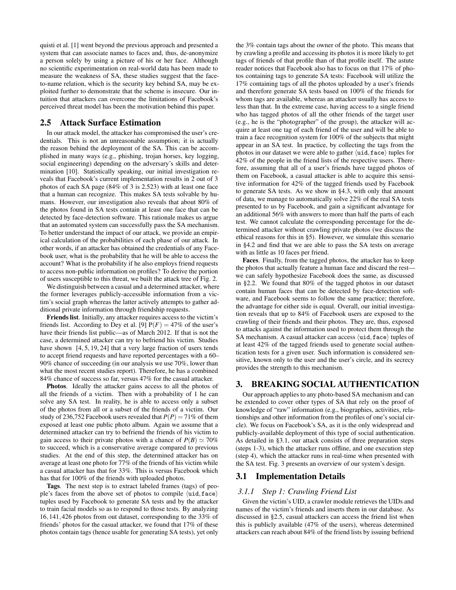quisti et al. [1] went beyond the previous approach and presented a system that can associate names to faces and, thus, de-anonymize a person solely by using a picture of his or her face. Although no scientific experimentation on real-world data has been made to measure the weakness of SA, these studies suggest that the faceto-name relation, which is the security key behind SA, may be exploited further to demonstrate that the scheme is insecure. Our intuition that attackers can overcome the limitations of Facebook's perceived threat model has been the motivation behind this paper.

## 2.5 Attack Surface Estimation

In our attack model, the attacker has compromised the user's credentials. This is not an unreasonable assumption; it is actually the reason behind the deployment of the SA. This can be accomplished in many ways (e.g., phishing, trojan horses, key logging, social engineering) depending on the adversary's skills and determination [10]. Statistically speaking, our initial investigation reveals that Facebook's current implementation results in 2 out of 3 photos of each SA page (84% of 3 is 2.523) with at least one face that a human can recognize. This makes SA tests solvable by humans. However, our investigation also reveals that about 80% of the photos found in SA tests contain at least one face that can be detected by face-detection software. This rationale makes us argue that an automated system can successfully pass the SA mechanism. To better understand the impact of our attack, we provide an empirical calculation of the probabilities of each phase of our attack. In other words, if an attacker has obtained the credentials of any Facebook user, what is the probability that he will be able to access the account? What is the probability if he also employs friend requests to access non-public information on profiles? To derive the portion of users susceptible to this threat, we built the attack tree of Fig. 2.

We distinguish between a casual and a determined attacker, where the former leverages publicly-accessible information from a victim's social graph whereas the latter actively attempts to gather additional private information through friendship requests.

Friends list. Initially, any attacker requires access to the victim's friends list. According to Dey et al. [9]  $P(F) = 47\%$  of the user's have their friends list public—as of March 2012. If that is not the case, a determined attacker can try to befriend his victim. Studies have shown [4, 5, 19, 24] that a very large fraction of users tends to accept friend requests and have reported percentages with a 60– 90% chance of succeeding (in our analysis we use 70%, lower than what the most recent studies report). Therefore, he has a combined 84% chance of success so far, versus 47% for the casual attacker.

Photos. Ideally the attacker gains access to all the photos of all the friends of a victim. Then with a probability of 1 he can solve any SA test. In reality, he is able to access only a subset of the photos from all or a subset of the friends of a victim. Our study of 236,752 Facebook users revealed that  $P(P) = 71\%$  of them exposed at least one public photo album. Again we assume that a determined attacker can try to befriend the friends of his victim to gain access to their private photos with a chance of  $P(B) \simeq 70\%$ to succeed, which is a conservative average compared to previous studies. At the end of this step, the determined attacker has on average at least one photo for 77% of the friends of his victim while a casual attacker has that for 33%. This is versus Facebook which has that for 100% of the friends with uploaded photos.

Tags. The next step is to extract labeled frames (tags) of people's faces from the above set of photos to compile *⟨*uid*,*face*⟩* tuples used by Facebook to generate SA tests and by the attacker to train facial models so as to respond to those tests. By analyzing 16*,*141*,*426 photos from out dataset, corresponding to the 33% of friends' photos for the casual attacker, we found that 17% of these photos contain tags (hence usable for generating SA tests), yet only

the 3% contain tags about the owner of the photo. This means that by crawling a profile and accessing its photos it is more likely to get tags of friends of that profile than of that profile itself. The astute reader notices that Facebook also has to focus on that 17% of photos containing tags to generate SA tests: Facebook will utilize the 17% containing tags of all the photos uploaded by a user's friends and therefore generate SA tests based on 100% of the friends for whom tags are available, whereas an attacker usually has access to less than that. In the extreme case, having access to a single friend who has tagged photos of all the other friends of the target user (e.g., he is the "photographer" of the group), the attacker will acquire at least one tag of each friend of the user and will be able to train a face recognition system for 100% of the subjects that might appear in an SA test. In practice, by collecting the tags from the photos in our dataset we were able to gather *⟨*uid*,*face*⟩* tuples for 42% of the people in the friend lists of the respective users. Therefore, assuming that all of a user's friends have tagged photos of them on Facebook, a casual attacker is able to acquire this sensitive information for 42% of the tagged friends used by Facebook to generate SA tests. As we show in §4.3, with only that amount of data, we manage to automatically solve 22% of the real SA tests presented to us by Facebook, and gain a significant advantage for an additional 56% with answers to more than half the parts of each test. We cannot calculate the corresponding percentage for the determined attacker without crawling private photos (we discuss the ethical reasons for this in §5). However, we simulate this scenario in §4.2 and find that we are able to pass the SA tests on average with as little as 10 faces per friend.

Faces. Finally, from the tagged photos, the attacker has to keep the photos that actually feature a human face and discard the rest we can safely hypothesize Facebook does the same, as discussed in §2.2. We found that 80% of the tagged photos in our dataset contain human faces that can be detected by face-detection software, and Facebook seems to follow the same practice; therefore, the advantage for either side is equal. Overall, our initial investigation reveals that up to 84% of Facebook users are exposed to the crawling of their friends and their photos. They are, thus, exposed to attacks against the information used to protect them through the SA mechanism. A casual attacker can access *⟨*uid*,*face*⟩* tuples of at least 42% of the tagged friends used to generate social authentication tests for a given user. Such information is considered sensitive, known only to the user and the user's circle, and its secrecy provides the strength to this mechanism.

#### 3. BREAKING SOCIAL AUTHENTICATION

Our approach applies to any photo-based SA mechanism and can be extended to cover other types of SA that rely on the proof of knowledge of "raw" information (e.g., biographies, activities, relationships and other information from the profiles of one's social circle). We focus on Facebook's SA, as it is the only widespread and publicly-available deployment of this type of social authentication. As detailed in §3.1, our attack consists of three preparation steps (steps 1-3), which the attacker runs offline, and one execution step (step 4), which the attacker runs in real-time when presented with the SA test. Fig. 3 presents an overview of our system's design.

## 3.1 Implementation Details

#### *3.1.1 Step 1: Crawling Friend List*

Given the victim's UID, a crawler module retrieves the UIDs and names of the victim's friends and inserts them in our database. As discussed in §2.5, casual attackers can access the friend list when this is publicly available (47% of the users), whereas determined attackers can reach about 84% of the friend lists by issuing befriend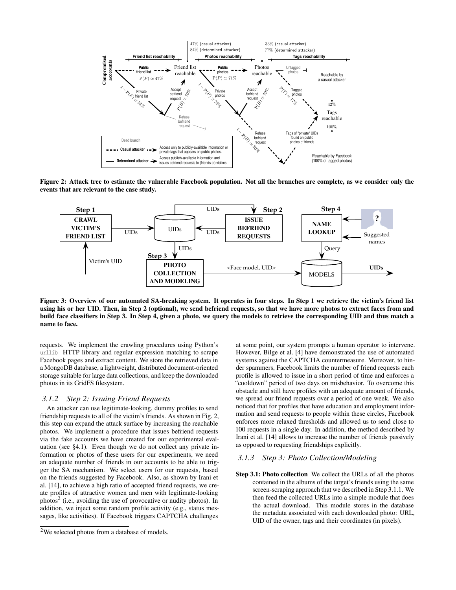

Figure 2: Attack tree to estimate the vulnerable Facebook population. Not all the branches are complete, as we consider only the events that are relevant to the case study.



Figure 3: Overview of our automated SA-breaking system. It operates in four steps. In Step 1 we retrieve the victim's friend list using his or her UID. Then, in Step 2 (optional), we send befriend requests, so that we have more photos to extract faces from and build face classifiers in Step 3. In Step 4, given a photo, we query the models to retrieve the corresponding UID and thus match a name to face.

requests. We implement the crawling procedures using Python's urllib HTTP library and regular expression matching to scrape Facebook pages and extract content. We store the retrieved data in a MongoDB database, a lightweight, distributed document-oriented storage suitable for large data collections, and keep the downloaded photos in its GridFS filesystem.

#### *3.1.2 Step 2: Issuing Friend Requests*

An attacker can use legitimate-looking, dummy profiles to send friendship requests to all of the victim's friends. As shown in Fig. 2, this step can expand the attack surface by increasing the reachable photos. We implement a procedure that issues befriend requests via the fake accounts we have created for our experimental evaluation (see §4.1). Even though we do not collect any private information or photos of these users for our experiments, we need an adequate number of friends in our accounts to be able to trigger the SA mechanism. We select users for our requests, based on the friends suggested by Facebook. Also, as shown by Irani et al. [14], to achieve a high ratio of accepted friend requests, we create profiles of attractive women and men with legitimate-looking  $photo<sup>2</sup>$  (i.e., avoiding the use of provocative or nudity photos). In addition, we inject some random profile activity (e.g., status messages, like activities). If Facebook triggers CAPTCHA challenges at some point, our system prompts a human operator to intervene. However, Bilge et al. [4] have demonstrated the use of automated systems against the CAPTCHA countermeasure. Moreover, to hinder spammers, Facebook limits the number of friend requests each profile is allowed to issue in a short period of time and enforces a "cooldown" period of two days on misbehavior. To overcome this obstacle and still have profiles with an adequate amount of friends, we spread our friend requests over a period of one week. We also noticed that for profiles that have education and employment information and send requests to people within these circles, Facebook enforces more relaxed thresholds and allowed us to send close to 100 requests in a single day. In addition, the method described by Irani et al. [14] allows to increase the number of friends passively as opposed to requesting friendships explicitly.

#### *3.1.3 Step 3: Photo Collection/Modeling*

Step 3.1: Photo collection We collect the URLs of all the photos contained in the albums of the target's friends using the same screen-scraping approach that we described in Step 3.1.1. We then feed the collected URLs into a simple module that does the actual download. This module stores in the database the metadata associated with each downloaded photo: URL, UID of the owner, tags and their coordinates (in pixels).

<sup>2</sup>We selected photos from a database of models.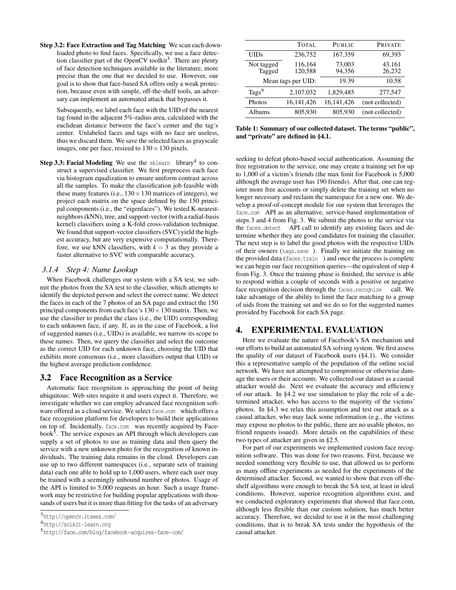Step 3.2: Face Extraction and Tag Matching We scan each downloaded photo to find faces. Specifically, we use a face detection classifier part of the OpenCV toolkit<sup>3</sup>. There are plenty of face detection techniques available in the literature, more precise than the one that we decided to use. However, our goal is to show that face-based SA offers only a weak protection, because even with simple, off-the-shelf tools, an adversary can implement an automated attack that bypasses it.

Subsequently, we label each face with the UID of the nearest tag found in the adjacent 5%-radius area, calculated with the euclidean distance between the face's center and the tag's center. Unlabeled faces and tags with no face are useless, thus we discard them. We save the selected faces as grayscale images, one per face, resized to 130*×*130 pixels.

**Step 3.3: Facial Modeling** We use the sklearn library<sup>4</sup> to construct a supervised classifier. We first preprocess each face via histogram equalization to ensure uniform contrast across all the samples. To make the classification job feasible with these many features (i.e., 130*×*130 matrices of integers), we project each matrix on the space defined by the 150 principal components (i.e., the "eigenfaces"). We tested K-nearestneighbors (kNN), tree, and support-vector (with a radial-basis kernel) classifiers using a K-fold cross-validation technique. We found that support-vector classifiers (SVC) yield the highest accuracy, but are very expensive computationally. Therefore, we use kNN classifiers, with  $k = 3$  as they provide a faster alternative to SVC with comparable accuracy.

#### *3.1.4 Step 4: Name Lookup*

When Facebook challenges our system with a SA test, we submit the photos from the SA test to the classifier, which attempts to identify the depicted person and select the correct name. We detect the faces in each of the 7 photos of an SA page and extract the 150 principal components from each face's 130*×*130 matrix. Then, we use the classifier to predict the class (i.e., the UID) corresponding to each unknown face, if any. If, as in the case of Facebook, a list of suggested names (i.e., UIDs) is available, we narrow its scope to these names. Then, we query the classifier and select the outcome as the correct UID for each unknown face, choosing the UID that exhibits more consensus (i.e., more classifiers output that UID) or the highest average prediction confidence.

#### 3.2 Face Recognition as a Service

Automatic face recognition is approaching the point of being ubiquitous: Web sites require it and users expect it. Therefore, we investigate whether we can employ advanced face recognition software offered as a cloud service. We select face.com which offers a face recognition platform for developers to build their applications on top of. Incidentally, face.com was recently acquired by Facebook<sup>5</sup>. The service exposes an API through which developers can supply a set of photos to use as training data and then query the service with a new unknown photo for the recognition of known individuals. The training data remains in the cloud. Developers can use up to two different namespaces (i.e., separate sets of training data) each one able to hold up to 1,000 users, where each user may be trained with a seemingly unbound number of photos. Usage of the API is limited to 5,000 requests an hour. Such a usage framework may be restrictive for building popular applications with thousands of users but it is more than fitting for the tasks of an adversary

<sup>4</sup>http://scikit-learn.org

|                      | TOTAL              | <b>PUBLIC</b>    | <b>PRIVATE</b>   |
|----------------------|--------------------|------------------|------------------|
| <b>UIDs</b>          | 236,752            | 167,359          | 69,393           |
| Not tagged<br>Tagged | 116,164<br>120,588 | 73,003<br>94,356 | 43,161<br>26,232 |
| Mean tags per UID:   |                    | 19.39            | 10.58            |
| $\text{Tags}^9$      | 2,107,032          | 1,829,485        | 277,547          |
| <b>Photos</b>        | 16, 141, 426       | 16, 141, 426     | (not collected)  |
| <b>Albums</b>        | 805,930            | 805,930          | (not collected)  |

Table 1: Summary of our collected dataset. The terms "public", and "private" are defined in §4.1.

seeking to defeat photo-based social authentication. Assuming the free registration to the service, one may create a training set for up to 1,000 of a victim's friends (the max limit for Facebook is 5,000 although the average user has 190 friends). After that, one can register more free accounts or simply delete the training set when no longer necessary and reclaim the namespace for a new one. We develop a proof-of-concept module for our system that leverages the face.com API as an alternative, service-based implementation of steps 3 and 4 from Fig. 3. We submit the photos to the service via the faces.detect API call to identify any existing faces and determine whether they are good candidates for training the classifier. The next step is to label the good photos with the respective UIDs of their owners (tags.save ). Finally we initiate the training on the provided data (faces.train ) and once the process is complete we can begin our face recognition queries—the equivalent of step 4 from Fig. 3. Once the training phase is finished, the service is able to respond within a couple of seconds with a positive or negative face recognition decision through the faces.recognize call. We take advantage of the ability to limit the face matching to a group of uids from the training set and we do so for the suggested names provided by Facebook for each SA page.

# 4. EXPERIMENTAL EVALUATION

Here we evaluate the nature of Facebook's SA mechanism and our efforts to build an automated SA solving system. We first assess the quality of our dataset of Facebook users (§4.1). We consider this a representative sample of the population of the online social network. We have not attempted to compromise or otherwise damage the users or their accounts. We collected our dataset as a casual attacker would do. Next we evaluate the accuracy and efficiency of our attack. In §4.2 we use simulation to play the role of a determined attacker, who has access to the majority of the victims' photos. In §4.3 we relax this assumption and test our attack as a casual attacker, who may lack some information (e.g., the victims may expose no photos to the public, there are no usable photos, no friend requests issued). More details on the capabilities of these two types of attacker are given in §2.5.

For part of our experiments we implemented custom face recognition software. This was done for two reasons. First, because we needed something very flexible to use, that allowed us to perform as many offline experiments as needed for the experiments of the determined attacker. Second, we wanted to show that even off-theshelf algorithms were enough to break the SA test, at least in ideal conditions. However, superior recognition algorithms exist, and we conducted exploratory experiments that showed that face.com, although less flexible than our custom solution, has much better accuracy. Therefore, we decided to use it in the most challenging conditions, that is to break SA tests under the hypothesis of the casual attacker.

<sup>3</sup>http://opencv.itseez.com/

<sup>5</sup>http://face.com/blog/facebook-acquires-face-com/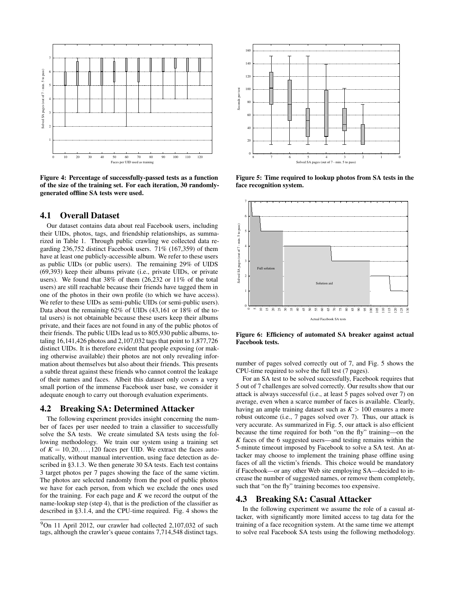

Figure 4: Percentage of successfully-passed tests as a function of the size of the training set. For each iteration, 30 randomlygenerated offline SA tests were used.

#### 4.1 Overall Dataset

Our dataset contains data about real Facebook users, including their UIDs, photos, tags, and friendship relationships, as summarized in Table 1. Through public crawling we collected data regarding 236,752 distinct Facebook users. 71% (167,359) of them have at least one publicly-accessible album. We refer to these users as public UIDs (or public users). The remaining 29% of UIDS (69,393) keep their albums private (i.e., private UIDs, or private users). We found that 38% of them (26,232 or 11% of the total users) are still reachable because their friends have tagged them in one of the photos in their own profile (to which we have access). We refer to these UIDs as semi-public UIDs (or semi-public users). Data about the remaining 62% of UIDs (43,161 or 18% of the total users) is not obtainable because these users keep their albums private, and their faces are not found in any of the public photos of their friends. The public UIDs lead us to 805,930 public albums, totaling 16,141,426 photos and 2,107,032 tags that point to 1,877,726 distinct UIDs. It is therefore evident that people exposing (or making otherwise available) their photos are not only revealing information about themselves but also about their friends. This presents a subtle threat against these friends who cannot control the leakage of their names and faces. Albeit this dataset only covers a very small portion of the immense Facebook user base, we consider it adequate enough to carry out thorough evaluation experiments. **Figure 4: Precentage of successfully-passed tests as a function<br>
Figure 4: Percentage of successfully-passed tests as a function<br>
Figure 4: Percentage of successfully-passed tests as a function<br>
Figure 4: Percentage of s** 

## 4.2 Breaking SA: Determined Attacker

The following experiment provides insight concerning the number of faces per user needed to train a classifier to successfully solve the SA tests. We create simulated SA tests using the following methodology. We train our system using a training set of  $K = 10, 20, \ldots, 120$  faces per UID. We extract the faces automatically, without manual intervention, using face detection as described in §3.1.3. We then generate 30 SA tests. Each test contains 3 target photos per 7 pages showing the face of the same victim. The photos are selected randomly from the pool of public photos we have for each person, from which we exclude the ones used for the training. For each page and *K* we record the output of the name-lookup step (step 4), that is the prediction of the classifier as described in §3.1.4, and the CPU-time required. Fig. 4 shows the



Figure 5: Time required to lookup photos from SA tests in the face recognition system.



Figure 6: Efficiency of automated SA breaker against actual Facebook tests.

number of pages solved correctly out of 7, and Fig. 5 shows the CPU-time required to solve the full test (7 pages).

For an SA test to be solved successfully, Facebook requires that 5 out of 7 challenges are solved correctly. Our results show that our attack is always successful (i.e., at least 5 pages solved over 7) on average, even when a scarce number of faces is available. Clearly, having an ample training dataset such as  $K > 100$  ensures a more robust outcome (i.e., 7 pages solved over 7). Thus, our attack is very accurate. As summarized in Fig. 5, our attack is also efficient because the time required for both "on the fly" training—on the *K* faces of the 6 suggested users—and testing remains within the 5-minute timeout imposed by Facebook to solve a SA test. An attacker may choose to implement the training phase offline using faces of all the victim's friends. This choice would be mandatory if Facebook—or any other Web site employing SA—decided to increase the number of suggested names, or remove them completely, such that "on the fly" training becomes too expensive.

#### 4.3 Breaking SA: Casual Attacker

In the following experiment we assume the role of a casual attacker, with significantly more limited access to tag data for the training of a face recognition system. At the same time we attempt to solve real Facebook SA tests using the following methodology.

 $9$ On 11 April 2012, our crawler had collected 2,107,032 of such tags, although the crawler's queue contains 7,714,548 distinct tags.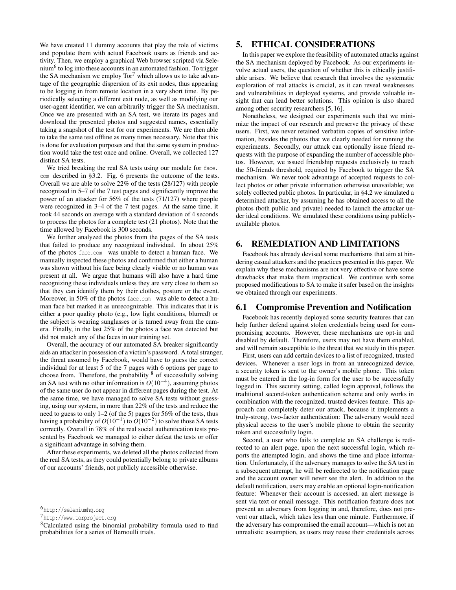We have created 11 dummy accounts that play the role of victims and populate them with actual Facebook users as friends and activity. Then, we employ a graphical Web browser scripted via Selenium<sup>6</sup> to log into these accounts in an automated fashion. To trigger the SA mechanism we employ  $Tor^7$  which allows us to take advantage of the geographic dispersion of its exit nodes, thus appearing to be logging in from remote location in a very short time. By periodically selecting a different exit node, as well as modifying our user-agent identifier, we can arbitrarily trigger the SA mechanism. Once we are presented with an SA test, we iterate its pages and download the presented photos and suggested names, essentially taking a snapshot of the test for our experiments. We are then able to take the same test offline as many times necessary. Note that this is done for evaluation purposes and that the same system in production would take the test once and online. Overall, we collected 127 distinct SA tests.

We tried breaking the real SA tests using our module for face. com described in §3.2. Fig. 6 presents the outcome of the tests. Overall we are able to solve 22% of the tests (28/127) with people recognized in 5–7 of the 7 test pages and significantly improve the power of an attacker for 56% of the tests (71/127) where people were recognized in 3–4 of the 7 test pages. At the same time, it took 44 seconds on average with a standard deviation of 4 seconds to process the photos for a complete test (21 photos). Note that the time allowed by Facebook is 300 seconds.

We further analyzed the photos from the pages of the SA tests that failed to produce any recognized individual. In about 25% of the photos face.com was unable to detect a human face. We manually inspected these photos and confirmed that either a human was shown without his face being clearly visible or no human was present at all. We argue that humans will also have a hard time recognizing these individuals unless they are very close to them so that they can identify them by their clothes, posture or the event. Moreover, in 50% of the photos face.com was able to detect a human face but marked it as unrecognizable. This indicates that it is either a poor quality photo (e.g., low light conditions, blurred) or the subject is wearing sunglasses or is turned away from the camera. Finally, in the last 25% of the photos a face was detected but did not match any of the faces in our training set.

Overall, the accuracy of our automated SA breaker significantly aids an attacker in possession of a victim's password. A total stranger, the threat assumed by Facebook, would have to guess the correct individual for at least 5 of the 7 pages with 6 options per page to choose from. Therefore, the probability  $\delta$  of successfully solving an SA test with no other information is *O*(10*−*<sup>4</sup> ), assuming photos of the same user do not appear in different pages during the test. At the same time, we have managed to solve SA tests without guessing, using our system, in more than 22% of the tests and reduce the need to guess to only 1–2 (of the 5) pages for 56% of the tests, thus having a probability of *O*(10*−*<sup>1</sup> ) to *O*(10*−*<sup>2</sup> ) to solve those SA tests correctly. Overall in 78% of the real social authentication tests presented by Facebook we managed to either defeat the tests or offer a significant advantage in solving them.

After these experiments, we deleted all the photos collected from the real SA tests, as they could potentially belong to private albums of our accounts' friends, not publicly accessible otherwise.

# 5. ETHICAL CONSIDERATIONS

In this paper we explore the feasibility of automated attacks against the SA mechanism deployed by Facebook. As our experiments involve actual users, the question of whether this is ethically justifiable arises. We believe that research that involves the systematic exploration of real attacks is crucial, as it can reveal weaknesses and vulnerabilities in deployed systems, and provide valuable insight that can lead better solutions. This opinion is also shared among other security researchers [5, 16].

Nonetheless, we designed our experiments such that we minimize the impact of our research and preserve the privacy of these users. First, we never retained verbatim copies of sensitive information, besides the photos that we clearly needed for running the experiments. Secondly, our attack can optionally issue friend requests with the purpose of expanding the number of accessible photos. However, we issued friendship requests exclusively to reach the 50-friends threshold, required by Facebook to trigger the SA mechanism. We never took advantage of accepted requests to collect photos or other private information otherwise unavailable; we solely collected public photos. In particular, in §4.2 we simulated a determined attacker, by assuming he has obtained access to all the photos (both public and private) needed to launch the attacker under ideal conditions. We simulated these conditions using publiclyavailable photos.

## 6. REMEDIATION AND LIMITATIONS

Facebook has already devised some mechanisms that aim at hindering casual attackers and the practices presented in this paper. We explain why these mechanisms are not very effective or have some drawbacks that make them impractical. We continue with some proposed modifications to SA to make it safer based on the insights we obtained through our experiments.

## 6.1 Compromise Prevention and Notification

Facebook has recently deployed some security features that can help further defend against stolen credentials being used for compromising accounts. However, these mechanisms are opt-in and disabled by default. Therefore, users may not have them enabled, and will remain susceptible to the threat that we study in this paper.

First, users can add certain devices to a list of recognized, trusted devices. Whenever a user logs in from an unrecognized device, a security token is sent to the owner's mobile phone. This token must be entered in the log-in form for the user to be successfully logged in. This security setting, called login approval, follows the traditional second-token authentication scheme and only works in combination with the recognized, trusted devices feature. This approach can completely deter our attack, because it implements a truly-strong, two-factor authentication: The adversary would need physical access to the user's mobile phone to obtain the security token and successfully login.

Second, a user who fails to complete an SA challenge is redirected to an alert page, upon the next successful login, which reports the attempted login, and shows the time and place information. Unfortunately, if the adversary manages to solve the SA test in a subsequent attempt, he will be redirected to the notification page and the account owner will never see the alert. In addition to the default notification, users may enable an optional login-notification feature: Whenever their account is accessed, an alert message is sent via text or email message. This notification feature does not prevent an adversary from logging in and, therefore, does not prevent our attack, which takes less than one minute. Furthermore, if the adversary has compromised the email account—which is not an unrealistic assumption, as users may reuse their credentials across

<sup>6</sup>http://seleniumhq.org

<sup>7</sup>http://www.torproject.org

<sup>8</sup>Calculated using the binomial probability formula used to find probabilities for a series of Bernoulli trials.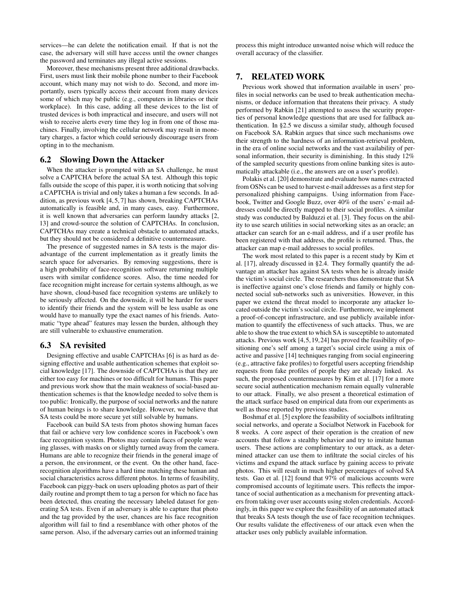services—he can delete the notification email. If that is not the case, the adversary will still have access until the owner changes the password and terminates any illegal active sessions.

Moreover, these mechanisms present three additional drawbacks. First, users must link their mobile phone number to their Facebook account, which many may not wish to do. Second, and more importantly, users typically access their account from many devices some of which may be public (e.g., computers in libraries or their workplace). In this case, adding all these devices to the list of trusted devices is both impractical and insecure, and users will not wish to receive alerts every time they log in from one of those machines. Finally, involving the cellular network may result in monetary charges, a factor which could seriously discourage users from opting in to the mechanism.

## 6.2 Slowing Down the Attacker

When the attacker is prompted with an SA challenge, he must solve a CAPTCHA before the actual SA test. Although this topic falls outside the scope of this paper, it is worth noticing that solving a CAPTCHA is trivial and only takes a human a few seconds. In addition, as previous work [4, 5, 7] has shown, breaking CAPTCHAs automatically is feasible and, in many cases, easy. Furthermore, it is well known that adversaries can perform laundry attacks [2, 13] and crowd-source the solution of CAPTCHAs. In conclusion, CAPTCHAs may create a technical obstacle to automated attacks, but they should not be considered a definitive countermeasure.

The presence of suggested names in SA tests is the major disadvantage of the current implementation as it greatly limits the search space for adversaries. By removing suggestions, there is a high probability of face-recognition software returning multiple users with similar confidence scores. Also, the time needed for face recognition might increase for certain systems although, as we have shown, cloud-based face recognition systems are unlikely to be seriously affected. On the downside, it will be harder for users to identify their friends and the system will be less usable as one would have to manually type the exact names of his friends. Automatic "type ahead" features may lessen the burden, although they are still vulnerable to exhaustive enumeration.

#### 6.3 SA revisited

Designing effective and usable CAPTCHAs [6] is as hard as designing effective and usable authentication schemes that exploit social knowledge [17]. The downside of CAPTCHAs is that they are either too easy for machines or too difficult for humans. This paper and previous work show that the main weakness of social-based authentication schemes is that the knowledge needed to solve them is too public: Ironically, the purpose of social networks and the nature of human beings is to share knowledge. However, we believe that SA tests could be more secure yet still solvable by humans.

Facebook can build SA tests from photos showing human faces that fail or achieve very low confidence scores in Facebook's own face recognition system. Photos may contain faces of people wearing glasses, with masks on or slightly turned away from the camera. Humans are able to recognize their friends in the general image of a person, the environment, or the event. On the other hand, facerecognition algorithms have a hard time matching these human and social characteristics across different photos. In terms of feasibility, Facebook can piggy-back on users uploading photos as part of their daily routine and prompt them to tag a person for which no face has been detected, thus creating the necessary labeled dataset for generating SA tests. Even if an adversary is able to capture that photo and the tag provided by the user, chances are his face recognition algorithm will fail to find a resemblance with other photos of the same person. Also, if the adversary carries out an informed training process this might introduce unwanted noise which will reduce the overall accuracy of the classifier.

## 7. RELATED WORK

Previous work showed that information available in users' profiles in social networks can be used to break authentication mechanisms, or deduce information that threatens their privacy. A study performed by Rabkin [21] attempted to assess the security properties of personal knowledge questions that are used for fallback authentication. In §2.5 we discuss a similar study, although focused on Facebook SA. Rabkin argues that since such mechanisms owe their strength to the hardness of an information-retrieval problem, in the era of online social networks and the vast availability of personal information, their security is diminishing. In this study 12% of the sampled security questions from online banking sites is automatically attackable (i.e., the answers are on a user's profile).

Polakis et al. [20] demonstrate and evaluate how names extracted from OSNs can be used to harvest e-mail addresses as a first step for personalized phishing campaigns. Using information from Facebook, Twitter and Google Buzz, over 40% of the users' e-mail addresses could be directly mapped to their social profiles. A similar study was conducted by Balduzzi et al. [3]. They focus on the ability to use search utilities in social networking sites as an oracle; an attacker can search for an e-mail address, and if a user profile has been registered with that address, the profile is returned. Thus, the attacker can map e-mail addresses to social profiles.

The work most related to this paper is a recent study by Kim et al. [17], already discussed in §2.4. They formally quantify the advantage an attacker has against SA tests when he is already inside the victim's social circle. The researchers thus demonstrate that SA is ineffective against one's close friends and family or highly connected social sub-networks such as universities. However, in this paper we extend the threat model to incorporate any attacker located outside the victim's social circle. Furthermore, we implement a proof-of-concept infrastructure, and use publicly available information to quantify the effectiveness of such attacks. Thus, we are able to show the true extent to which SA is susceptible to automated attacks. Previous work [4,5,19,24] has proved the feasibility of positioning one's self among a target's social circle using a mix of active and passive [14] techniques ranging from social engineering (e.g., attractive fake profiles) to forgetful users accepting friendship requests from fake profiles of people they are already linked. As such, the proposed countermeasures by Kim et al. [17] for a more secure social authentication mechanism remain equally vulnerable to our attack. Finally, we also present a theoretical estimation of the attack surface based on empirical data from our experiments as well as those reported by previous studies.

Boshmaf et al. [5] explore the feasibility of socialbots infiltrating social networks, and operate a Socialbot Network in Facebook for 8 weeks. A core aspect of their operation is the creation of new accounts that follow a stealthy behavior and try to imitate human users. These actions are complimentary to our attack, as a determined attacker can use them to infiltrate the social circles of his victims and expand the attack surface by gaining access to private photos. This will result in much higher percentages of solved SA tests. Gao et al. [12] found that 97% of malicious accounts were compromised accounts of legitimate users. This reflects the importance of social authentication as a mechanism for preventing attackers from taking over user accounts using stolen credentials. Accordingly, in this paper we explore the feasibility of an automated attack that breaks SA tests though the use of face recognition techniques. Our results validate the effectiveness of our attack even when the attacker uses only publicly available information.